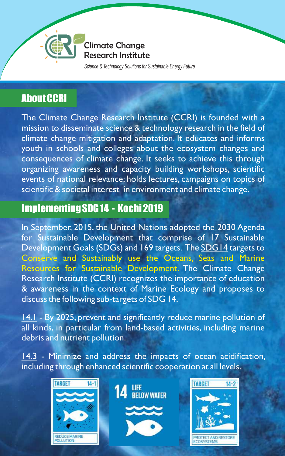

Climate Change Research Institute

*Science & Technology Solutions for Sustainable Energy Future*

## About CCRI

The Climate Change Research Institute (CCRI) is founded with a mission to disseminate science & technology research in the field of climate change mitigation and adaptation. It educates and informs youth in schools and colleges about the ecosystem changes and consequences of climate change. It seeks to achieve this through organizing awareness and capacity building workshops, scientific events of national relevance; holds lectures, campaigns on topics of scientific & societal interest in environment and climate change.

### Implementing SDG 14 - Kochi 2019

In September, 2015, the United Nations adopted the 2030 Agenda for Sustainable Development that comprise of 17 Sustainable Development Goals (SDGs) and 169 targets. The **SDG14** targets to Resources for Sustainable Development. The Climate Change Research Institute (CCRI) recognizes the importance of education & awareness in the context of Marine Ecology and proposes to discuss the following sub-targets of SDG 14. Conserve and Sustainably use the Oceans, Seas and Marine

14.1 - By 2025, prevent and significantly reduce marine pollution of all kinds, in particular from land-based activities, including marine debris and nutrient pollution.

14.3 - Minimize and address the impacts of ocean acidification, including through enhanced scientific cooperation at all levels.